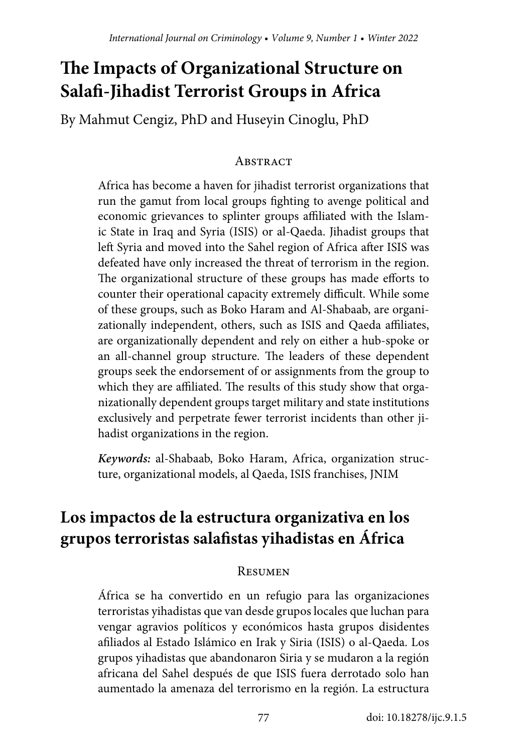# **The Impacts of Organizational Structure on Salafi-Jihadist Terrorist Groups in Africa**

By Mahmut Cengiz, PhD and Huseyin Cinoglu, PhD

#### **ABSTRACT**

Africa has become a haven for jihadist terrorist organizations that run the gamut from local groups fighting to avenge political and economic grievances to splinter groups affiliated with the Islamic State in Iraq and Syria (ISIS) or al-Qaeda. Jihadist groups that left Syria and moved into the Sahel region of Africa after ISIS was defeated have only increased the threat of terrorism in the region. The organizational structure of these groups has made efforts to counter their operational capacity extremely difficult. While some of these groups, such as Boko Haram and Al-Shabaab, are organizationally independent, others, such as ISIS and Qaeda affiliates, are organizationally dependent and rely on either a hub-spoke or an all-channel group structure. The leaders of these dependent groups seek the endorsement of or assignments from the group to which they are affiliated. The results of this study show that organizationally dependent groups target military and state institutions exclusively and perpetrate fewer terrorist incidents than other jihadist organizations in the region.

*Keywords:* al-Shabaab, Boko Haram, Africa, organization structure, organizational models, al Qaeda, ISIS franchises, JNIM

# **Los impactos de la estructura organizativa en los grupos terroristas salafistas yihadistas en África**

#### **RESUMEN**

África se ha convertido en un refugio para las organizaciones terroristas yihadistas que van desde grupos locales que luchan para vengar agravios políticos y económicos hasta grupos disidentes afiliados al Estado Islámico en Irak y Siria (ISIS) o al-Qaeda. Los grupos yihadistas que abandonaron Siria y se mudaron a la región africana del Sahel después de que ISIS fuera derrotado solo han aumentado la amenaza del terrorismo en la región. La estructura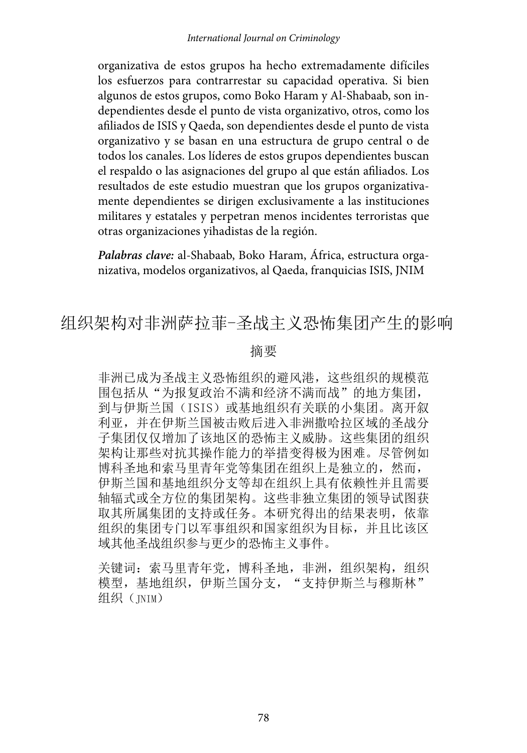organizativa de estos grupos ha hecho extremadamente difíciles los esfuerzos para contrarrestar su capacidad operativa. Si bien algunos de estos grupos, como Boko Haram y Al-Shabaab, son independientes desde el punto de vista organizativo, otros, como los afiliados de ISIS y Qaeda, son dependientes desde el punto de vista organizativo y se basan en una estructura de grupo central o de todos los canales. Los líderes de estos grupos dependientes buscan el respaldo o las asignaciones del grupo al que están afiliados. Los resultados de este estudio muestran que los grupos organizativamente dependientes se dirigen exclusivamente a las instituciones militares y estatales y perpetran menos incidentes terroristas que otras organizaciones yihadistas de la región.

*Palabras clave:* al-Shabaab, Boko Haram, África, estructura organizativa, modelos organizativos, al Qaeda, franquicias ISIS, JNIM

# 组织架构对非洲萨拉菲-圣战主义恐怖集团产生的影响

#### 摘要

非洲已成为圣战主义恐怖组织的避风港,这些组织的规模范 围包括从"为报复政治不满和经济不满而战"的地方集团, 到与伊斯兰国(ISIS)或基地组织有关联的小集团。离开叙 利亚,并在伊斯兰国被击败后进入非洲撒哈拉区域的圣战分 子集团仅仅增加了该地区的恐怖主义威胁。这些集团的组织 架构让那些对抗其操作能力的举措变得极为困难。尽管例如 博科圣地和索马里青年党等集团在组织上是独立的,然而, 伊斯兰国和基地组织分支等却在组织上具有依赖性并且需要 轴辐式或全方位的集团架构。这些非独立集团的领导试图获 取其所属集团的支持或任务。本研究得出的结果表明,依靠 组织的集团专门以军事组织和国家组织为目标,并且比该区 域其他圣战组织参与更少的恐怖主义事件。

关键词: 索马里青年党, 博科圣地, 非洲, 组织架构, 组织 模型,基地组织,伊斯兰国分支,"支持伊斯兰与穆斯林" 组织(INIM)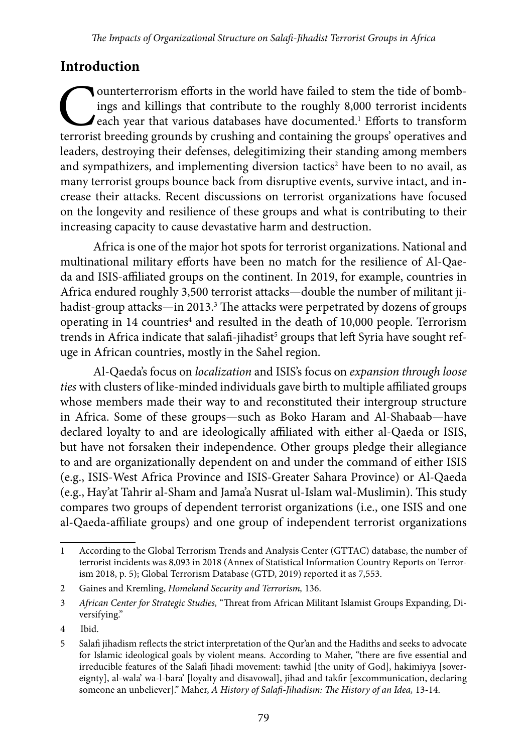# **Introduction**

Counterterrorism efforts in the world have failed to stem the tide of bombings and killings that contribute to the roughly 8,000 terrorist incidents each year that various databases have documented.<sup>1</sup> Efforts to transform ings and killings that contribute to the roughly 8,000 terrorist incidents each year that various databases have documented.<sup>1</sup> Efforts to transform terrorist breeding grounds by crushing and containing the groups' operatives and leaders, destroying their defenses, delegitimizing their standing among members and sympathizers, and implementing diversion tactics<sup>2</sup> have been to no avail, as many terrorist groups bounce back from disruptive events, survive intact, and increase their attacks. Recent discussions on terrorist organizations have focused on the longevity and resilience of these groups and what is contributing to their increasing capacity to cause devastative harm and destruction.

Africa is one of the major hot spots for terrorist organizations. National and multinational military efforts have been no match for the resilience of Al-Qaeda and ISIS-affiliated groups on the continent. In 2019, for example, countries in Africa endured roughly 3,500 terrorist attacks—double the number of militant jihadist-group attacks—in 2013.<sup>3</sup> The attacks were perpetrated by dozens of groups operating in 14 countries<sup>4</sup> and resulted in the death of 10,000 people. Terrorism trends in Africa indicate that salafi-jihadist $^5$  groups that left Syria have sought refuge in African countries, mostly in the Sahel region.

Al-Qaeda's focus on *localization* and ISIS's focus on *expansion through loose ties* with clusters of like-minded individuals gave birth to multiple affiliated groups whose members made their way to and reconstituted their intergroup structure in Africa. Some of these groups—such as Boko Haram and Al-Shabaab—have declared loyalty to and are ideologically affiliated with either al-Qaeda or ISIS, but have not forsaken their independence. Other groups pledge their allegiance to and are organizationally dependent on and under the command of either ISIS (e.g., ISIS-West Africa Province and ISIS-Greater Sahara Province) or Al-Qaeda (e.g., Hay'at Tahrir al-Sham and Jama'a Nusrat ul-Islam wal-Muslimin). This study compares two groups of dependent terrorist organizations (i.e., one ISIS and one al-Qaeda-affiliate groups) and one group of independent terrorist organizations

<sup>1</sup> According to the Global Terrorism Trends and Analysis Center (GTTAC) database, the number of terrorist incidents was 8,093 in 2018 (Annex of Statistical Information Country Reports on Terrorism 2018, p. 5); Global Terrorism Database (GTD, 2019) reported it as 7,553.

<sup>2</sup> Gaines and Kremling, *Homeland Security and Terrorism,* 136.

<sup>3</sup> *African Center for Strategic Studies,* "Threat from African Militant Islamist Groups Expanding, Diversifying."

<sup>4</sup> Ibid.

<sup>5</sup> Salafi jihadism reflects the strict interpretation of the Qur'an and the Hadiths and seeks to advocate for Islamic ideological goals by violent means. According to Maher, "there are five essential and irreducible features of the Salafi Jihadi movement: tawhid [the unity of God], hakimiyya [sovereignty], al-wala' wa-l-bara' [loyalty and disavowal], jihad and takfir [excommunication, declaring someone an unbeliever]." Maher, *A History of Salafi-Jihadism: The History of an Idea,* 13-14.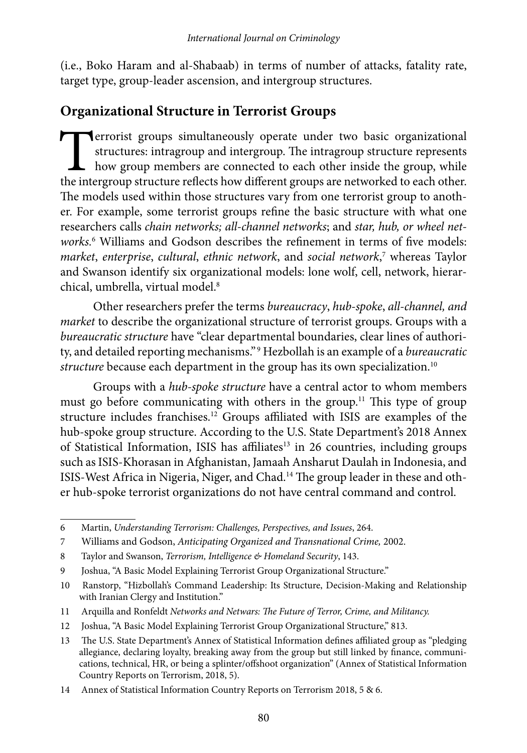(i.e., Boko Haram and al-Shabaab) in terms of number of attacks, fatality rate, target type, group-leader ascension, and intergroup structures.

# **Organizational Structure in Terrorist Groups**

**Terrorist groups simultaneously operate under two basic organizational structures: intragroup and intergroup. The intragroup structure represents how group members are connected to each other inside the group, while the i** structures: intragroup and intergroup. The intragroup structure represents how group members are connected to each other inside the group, while the intergroup structure reflects how different groups are networked to each other. The models used within those structures vary from one terrorist group to another. For example, some terrorist groups refine the basic structure with what one researchers calls *chain networks; all-channel networks*; and *star, hub, or wheel networks.*<sup>6</sup> Williams and Godson describes the refinement in terms of five models: *market*, *enterprise*, *cultural*, *ethnic network*, and *social network*, 7 whereas Taylor and Swanson identify six organizational models: lone wolf, cell, network, hierarchical, umbrella, virtual model.<sup>8</sup>

Other researchers prefer the terms *bureaucracy*, *hub-spoke*, *all-channel, and market* to describe the organizational structure of terrorist groups. Groups with a *bureaucratic structure* have "clear departmental boundaries, clear lines of authority, and detailed reporting mechanisms." 9 Hezbollah is an example of a *bureaucratic structure* because each department in the group has its own specialization.<sup>10</sup>

Groups with a *hub-spoke structure* have a central actor to whom members must go before communicating with others in the group.<sup>11</sup> This type of group structure includes franchises.12 Groups affiliated with ISIS are examples of the hub-spoke group structure. According to the U.S. State Department's 2018 Annex of Statistical Information, ISIS has affiliates<sup>13</sup> in 26 countries, including groups such as ISIS-Khorasan in Afghanistan, Jamaah Ansharut Daulah in Indonesia, and ISIS-West Africa in Nigeria, Niger, and Chad.14 The group leader in these and other hub-spoke terrorist organizations do not have central command and control.

<sup>6</sup> Martin, *Understanding Terrorism: Challenges, Perspectives, and Issues*, 264.

<sup>7</sup> Williams and Godson, *Anticipating Organized and Transnational Crime,* 2002.

<sup>8</sup> Taylor and Swanson, *Terrorism, Intelligence & Homeland Security*, 143.

<sup>9</sup> Joshua, "A Basic Model Explaining Terrorist Group Organizational Structure."

<sup>10</sup> Ranstorp, "Hizbollah's Command Leadership: Its Structure, Decision-Making and Relationship with Iranian Clergy and Institution."

<sup>11</sup> Arquilla and Ronfeldt *Networks and Netwars: The Future of Terror, Crime, and Militancy.*

<sup>12</sup> Joshua, "A Basic Model Explaining Terrorist Group Organizational Structure," 813.

<sup>13</sup> The U.S. State Department's Annex of Statistical Information defines affiliated group as "pledging allegiance, declaring loyalty, breaking away from the group but still linked by finance, communications, technical, HR, or being a splinter/offshoot organization" (Annex of Statistical Information Country Reports on Terrorism, 2018, 5).

<sup>14</sup> Annex of Statistical Information Country Reports on Terrorism 2018, 5 & 6.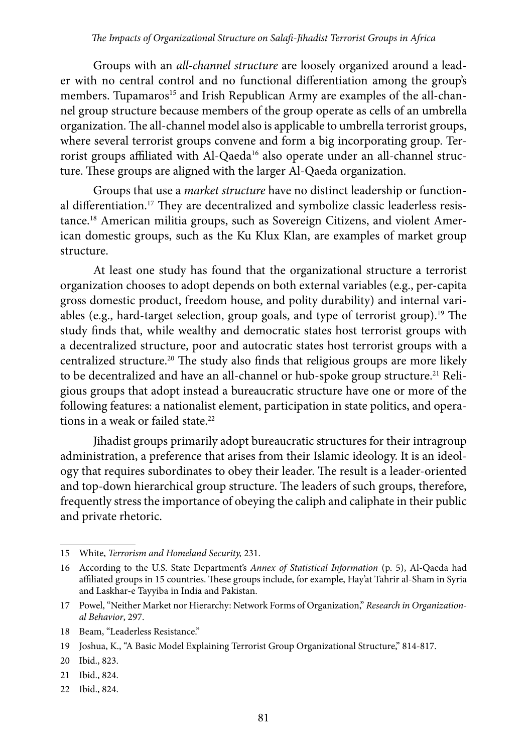Groups with an *all-channel structure* are loosely organized around a leader with no central control and no functional differentiation among the group's members. Tupamaros<sup>15</sup> and Irish Republican Army are examples of the all-channel group structure because members of the group operate as cells of an umbrella organization. The all-channel model also is applicable to umbrella terrorist groups, where several terrorist groups convene and form a big incorporating group. Terrorist groups affiliated with Al-Qaeda<sup>16</sup> also operate under an all-channel structure. These groups are aligned with the larger Al-Qaeda organization.

Groups that use a *market structure* have no distinct leadership or functional differentiation.<sup>17</sup> They are decentralized and symbolize classic leaderless resistance.18 American militia groups, such as Sovereign Citizens, and violent American domestic groups, such as the Ku Klux Klan, are examples of market group structure.

At least one study has found that the organizational structure a terrorist organization chooses to adopt depends on both external variables (e.g., per-capita gross domestic product, freedom house, and polity durability) and internal variables (e.g., hard-target selection, group goals, and type of terrorist group).19 The study finds that, while wealthy and democratic states host terrorist groups with a decentralized structure, poor and autocratic states host terrorist groups with a centralized structure.20 The study also finds that religious groups are more likely to be decentralized and have an all-channel or hub-spoke group structure.<sup>21</sup> Religious groups that adopt instead a bureaucratic structure have one or more of the following features: a nationalist element, participation in state politics, and operations in a weak or failed state.<sup>22</sup>

Jihadist groups primarily adopt bureaucratic structures for their intragroup administration, a preference that arises from their Islamic ideology. It is an ideology that requires subordinates to obey their leader. The result is a leader-oriented and top-down hierarchical group structure. The leaders of such groups, therefore, frequently stress the importance of obeying the caliph and caliphate in their public and private rhetoric.

22 Ibid., 824.

<sup>15</sup> White, *Terrorism and Homeland Security,* 231.

<sup>16</sup> According to the U.S. State Department's *Annex of Statistical Information* (p. 5), Al-Qaeda had affiliated groups in 15 countries. These groups include, for example, Hay'at Tahrir al-Sham in Syria and Laskhar-e Tayyiba in India and Pakistan.

<sup>17</sup> Powel, "Neither Market nor Hierarchy: Network Forms of Organization," *Research in Organizational Behavior*, 297.

<sup>18</sup> Beam, "Leaderless Resistance."

<sup>19</sup> Joshua, K., "A Basic Model Explaining Terrorist Group Organizational Structure," 814-817.

<sup>20</sup> Ibid., 823.

<sup>21</sup> Ibid., 824.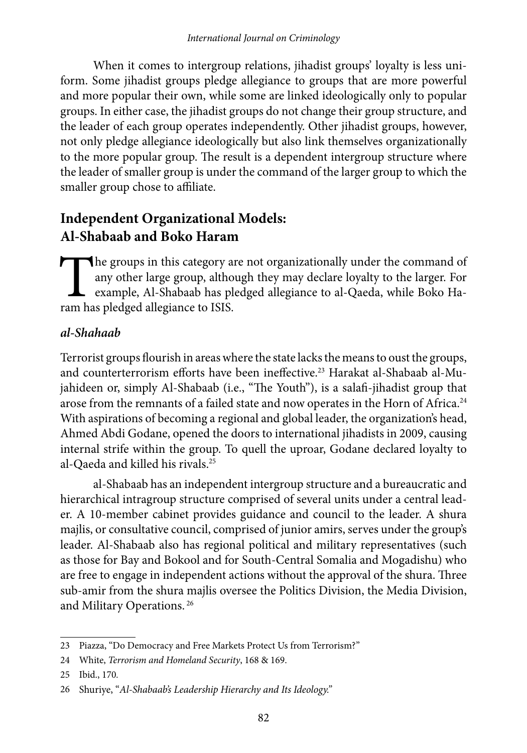When it comes to intergroup relations, jihadist groups' loyalty is less uniform. Some jihadist groups pledge allegiance to groups that are more powerful and more popular their own, while some are linked ideologically only to popular groups. In either case, the jihadist groups do not change their group structure, and the leader of each group operates independently. Other jihadist groups, however, not only pledge allegiance ideologically but also link themselves organizationally to the more popular group. The result is a dependent intergroup structure where the leader of smaller group is under the command of the larger group to which the smaller group chose to affiliate.

# **Independent Organizational Models: Al-Shabaab and Boko Haram**

The groups in this category are not organizationally under the command of any other large group, although they may declare loyalty to the larger. For example, Al-Shabaab has pledged allegiance to al-Qaeda, while Boko Haram any other large group, although they may declare loyalty to the larger. For example, Al-Shabaab has pledged allegiance to al-Qaeda, while Boko Haram has pledged allegiance to ISIS.

### *al-Shahaab*

Terrorist groups flourish in areas where the state lacks the means to oust the groups, and counterterrorism efforts have been ineffective.23 Harakat al-Shabaab al-Mujahideen or, simply Al-Shabaab (i.e., "The Youth"), is a salafi-jihadist group that arose from the remnants of a failed state and now operates in the Horn of Africa.24 With aspirations of becoming a regional and global leader, the organization's head, Ahmed Abdi Godane, opened the doors to international jihadists in 2009, causing internal strife within the group. To quell the uproar, Godane declared loyalty to al-Qaeda and killed his rivals.25

al-Shabaab has an independent intergroup structure and a bureaucratic and hierarchical intragroup structure comprised of several units under a central leader. A 10-member cabinet provides guidance and council to the leader. A shura majlis, or consultative council, comprised of junior amirs, serves under the group's leader. Al-Shabaab also has regional political and military representatives (such as those for Bay and Bokool and for South-Central Somalia and Mogadishu) who are free to engage in independent actions without the approval of the shura. Three sub-amir from the shura majlis oversee the Politics Division, the Media Division, and Military Operations. 26

<sup>23</sup> Piazza, "Do Democracy and Free Markets Protect Us from Terrorism?"

<sup>24</sup> White, *Terrorism and Homeland Security*, 168 & 169.

<sup>25</sup> Ibid., 170*.*

<sup>26</sup> Shuriye, "*Al-Shabaab's Leadership Hierarchy and Its Ideology."*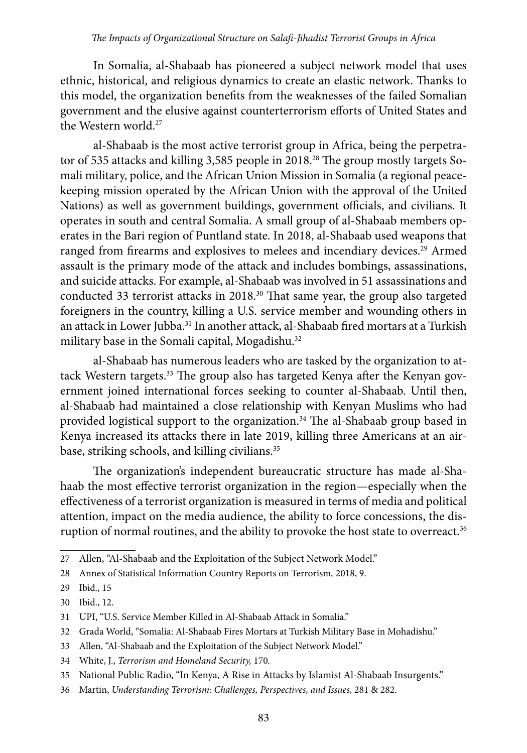#### *The Impacts of Organizational Structure on Salafi-Jihadist Terrorist Groups in Africa*

In Somalia, al-Shabaab has pioneered a subject network model that uses ethnic, historical, and religious dynamics to create an elastic network. Thanks to this model, the organization benefits from the weaknesses of the failed Somalian government and the elusive against counterterrorism efforts of United States and the Western world.27

al-Shabaab is the most active terrorist group in Africa, being the perpetrator of 535 attacks and killing 3,585 people in 2018.<sup>28</sup> The group mostly targets Somali military, police, and the African Union Mission in Somalia (a regional peacekeeping mission operated by the African Union with the approval of the United Nations) as well as government buildings, government officials, and civilians. It operates in south and central Somalia. A small group of al-Shabaab members operates in the Bari region of Puntland state. In 2018, al-Shabaab used weapons that ranged from firearms and explosives to melees and incendiary devices.<sup>29</sup> Armed assault is the primary mode of the attack and includes bombings, assassinations, and suicide attacks. For example, al-Shabaab was involved in 51 assassinations and conducted 33 terrorist attacks in 2018.30 That same year, the group also targeted foreigners in the country, killing a U.S. service member and wounding others in an attack in Lower Jubba.31 In another attack, al-Shabaab fired mortars at a Turkish military base in the Somali capital, Mogadishu.<sup>32</sup>

al-Shabaab has numerous leaders who are tasked by the organization to attack Western targets.<sup>33</sup> The group also has targeted Kenya after the Kenyan government joined international forces seeking to counter al-Shabaab. Until then, al-Shabaab had maintained a close relationship with Kenyan Muslims who had provided logistical support to the organization.<sup>34</sup> The al-Shabaab group based in Kenya increased its attacks there in late 2019, killing three Americans at an airbase, striking schools, and killing civilians.<sup>35</sup>

The organization's independent bureaucratic structure has made al-Shahaab the most effective terrorist organization in the region—especially when the effectiveness of a terrorist organization is measured in terms of media and political attention, impact on the media audience, the ability to force concessions, the disruption of normal routines, and the ability to provoke the host state to overreact.<sup>36</sup>

33 Allen, "Al-Shabaab and the Exploitation of the Subject Network Model."

<sup>27</sup> Allen, "Al-Shabaab and the Exploitation of the Subject Network Model."

<sup>28</sup> Annex of Statistical Information Country Reports on Terrorism*,* 2018, 9.

<sup>29</sup> Ibid., 15

<sup>30</sup> Ibid., 12.

<sup>31</sup> UPI, "U.S. Service Member Killed in Al-Shabaab Attack in Somalia."

<sup>32</sup> Grada World, "Somalia: Al-Shabaab Fires Mortars at Turkish Military Base in Mohadishu."

<sup>34</sup> White, J., *Terrorism and Homeland Security,* 170*.*

<sup>35</sup> National Public Radio, "In Kenya, A Rise in Attacks by Islamist Al-Shabaab Insurgents."

<sup>36</sup> Martin, *Understanding Terrorism: Challenges, Perspectives, and Issues,* 281 & 282.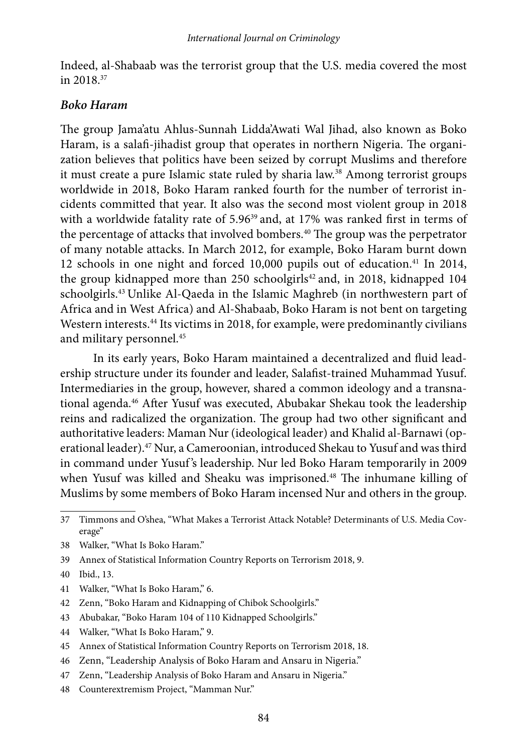Indeed, al-Shabaab was the terrorist group that the U.S. media covered the most in 2018.37

#### *Boko Haram*

The group Jama'atu Ahlus-Sunnah Lidda'Awati Wal Jihad, also known as Boko Haram, is a salafi-jihadist group that operates in northern Nigeria. The organization believes that politics have been seized by corrupt Muslims and therefore it must create a pure Islamic state ruled by sharia law.38 Among terrorist groups worldwide in 2018, Boko Haram ranked fourth for the number of terrorist incidents committed that year. It also was the second most violent group in 2018 with a worldwide fatality rate of 5.96<sup>39</sup> and, at 17% was ranked first in terms of the percentage of attacks that involved bombers.<sup>40</sup> The group was the perpetrator of many notable attacks. In March 2012, for example, Boko Haram burnt down 12 schools in one night and forced 10,000 pupils out of education.<sup>41</sup> In 2014, the group kidnapped more than 250 schoolgirls $42$  and, in 2018, kidnapped 104 schoolgirls.43 Unlike Al-Qaeda in the Islamic Maghreb (in northwestern part of Africa and in West Africa) and Al-Shabaab, Boko Haram is not bent on targeting Western interests.44 Its victims in 2018, for example, were predominantly civilians and military personnel.<sup>45</sup>

In its early years, Boko Haram maintained a decentralized and fluid leadership structure under its founder and leader, Salafist-trained Muhammad Yusuf. Intermediaries in the group, however, shared a common ideology and a transnational agenda.46 After Yusuf was executed, Abubakar Shekau took the leadership reins and radicalized the organization. The group had two other significant and authoritative leaders: Maman Nur (ideological leader) and Khalid al-Barnawi (operational leader).47 Nur, a Cameroonian, introduced Shekau to Yusuf and was third in command under Yusuf's leadership. Nur led Boko Haram temporarily in 2009 when Yusuf was killed and Sheaku was imprisoned.<sup>48</sup> The inhumane killing of Muslims by some members of Boko Haram incensed Nur and others in the group.

- 38 Walker, "What Is Boko Haram."
- 39 Annex of Statistical Information Country Reports on Terrorism 2018, 9.
- 40 Ibid., 13.
- 41 Walker, "What Is Boko Haram," 6.
- 42 Zenn, "Boko Haram and Kidnapping of Chibok Schoolgirls."
- 43 Abubakar, "Boko Haram 104 of 110 Kidnapped Schoolgirls."
- 44 Walker, "What Is Boko Haram," 9.
- 45 Annex of Statistical Information Country Reports on Terrorism 2018, 18.
- 46 Zenn, "Leadership Analysis of Boko Haram and Ansaru in Nigeria."
- 47 Zenn, "Leadership Analysis of Boko Haram and Ansaru in Nigeria."
- 48 Counterextremism Project, "Mamman Nur."

<sup>37</sup> Timmons and O'shea, "What Makes a Terrorist Attack Notable? Determinants of U.S. Media Coverage"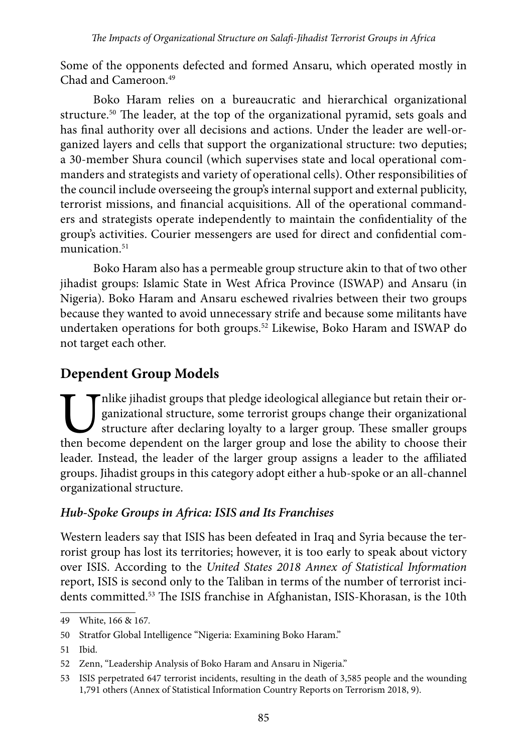Some of the opponents defected and formed Ansaru, which operated mostly in Chad and Cameroon.49

Boko Haram relies on a bureaucratic and hierarchical organizational structure.50 The leader, at the top of the organizational pyramid, sets goals and has final authority over all decisions and actions. Under the leader are well-organized layers and cells that support the organizational structure: two deputies; a 30-member Shura council (which supervises state and local operational commanders and strategists and variety of operational cells). Other responsibilities of the council include overseeing the group's internal support and external publicity, terrorist missions, and financial acquisitions. All of the operational commanders and strategists operate independently to maintain the confidentiality of the group's activities. Courier messengers are used for direct and confidential communication.<sup>51</sup>

Boko Haram also has a permeable group structure akin to that of two other jihadist groups: Islamic State in West Africa Province (ISWAP) and Ansaru (in Nigeria). Boko Haram and Ansaru eschewed rivalries between their two groups because they wanted to avoid unnecessary strife and because some militants have undertaken operations for both groups.52 Likewise, Boko Haram and ISWAP do not target each other.

# **Dependent Group Models**

Thike jihadist groups that pledge ideological allegiance but retain their or-<br>ganizational structure, some terrorist groups change their organizational<br>structure after declaring loyalty to a larger group. These smaller gro ganizational structure, some terrorist groups change their organizational structure after declaring loyalty to a larger group. These smaller groups then become dependent on the larger group and lose the ability to choose their leader. Instead, the leader of the larger group assigns a leader to the affiliated groups. Jihadist groups in this category adopt either a hub-spoke or an all-channel organizational structure.

### *Hub-Spoke Groups in Africa: ISIS and Its Franchises*

Western leaders say that ISIS has been defeated in Iraq and Syria because the terrorist group has lost its territories; however, it is too early to speak about victory over ISIS. According to the *United States 2018 Annex of Statistical Information* report, ISIS is second only to the Taliban in terms of the number of terrorist incidents committed.<sup>53</sup> The ISIS franchise in Afghanistan, ISIS-Khorasan, is the 10th

<sup>49</sup> White, 166 & 167*.*

<sup>50</sup> Stratfor Global Intelligence "Nigeria: Examining Boko Haram."

<sup>51</sup> Ibid.

<sup>52</sup> Zenn, "Leadership Analysis of Boko Haram and Ansaru in Nigeria."

<sup>53</sup> ISIS perpetrated 647 terrorist incidents, resulting in the death of 3,585 people and the wounding 1,791 others (Annex of Statistical Information Country Reports on Terrorism 2018, 9).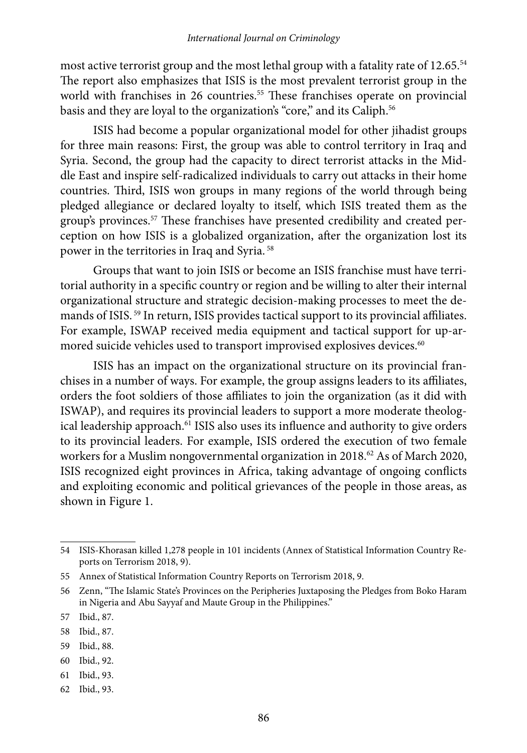most active terrorist group and the most lethal group with a fatality rate of 12.65.<sup>54</sup> The report also emphasizes that ISIS is the most prevalent terrorist group in the world with franchises in 26 countries.<sup>55</sup> These franchises operate on provincial basis and they are loyal to the organization's "core," and its Caliph.<sup>56</sup>

ISIS had become a popular organizational model for other jihadist groups for three main reasons: First, the group was able to control territory in Iraq and Syria. Second, the group had the capacity to direct terrorist attacks in the Middle East and inspire self-radicalized individuals to carry out attacks in their home countries. Third, ISIS won groups in many regions of the world through being pledged allegiance or declared loyalty to itself, which ISIS treated them as the group's provinces.57 These franchises have presented credibility and created perception on how ISIS is a globalized organization, after the organization lost its power in the territories in Iraq and Syria. 58

Groups that want to join ISIS or become an ISIS franchise must have territorial authority in a specific country or region and be willing to alter their internal organizational structure and strategic decision-making processes to meet the demands of ISIS. 59 In return, ISIS provides tactical support to its provincial affiliates. For example, ISWAP received media equipment and tactical support for up-armored suicide vehicles used to transport improvised explosives devices.<sup>60</sup>

ISIS has an impact on the organizational structure on its provincial franchises in a number of ways. For example, the group assigns leaders to its affiliates, orders the foot soldiers of those affiliates to join the organization (as it did with ISWAP), and requires its provincial leaders to support a more moderate theological leadership approach.<sup>61</sup> ISIS also uses its influence and authority to give orders to its provincial leaders. For example, ISIS ordered the execution of two female workers for a Muslim nongovernmental organization in 2018.<sup>62</sup> As of March 2020, ISIS recognized eight provinces in Africa, taking advantage of ongoing conflicts and exploiting economic and political grievances of the people in those areas, as shown in Figure 1.

<sup>54</sup> ISIS-Khorasan killed 1,278 people in 101 incidents (Annex of Statistical Information Country Reports on Terrorism 2018, 9).

<sup>55</sup> Annex of Statistical Information Country Reports on Terrorism 2018, 9.

<sup>56</sup> Zenn, "The Islamic State's Provinces on the Peripheries Juxtaposing the Pledges from Boko Haram in Nigeria and Abu Sayyaf and Maute Group in the Philippines."

<sup>57</sup> Ibid., 87.

<sup>58</sup> Ibid., 87.

<sup>59</sup> Ibid., 88.

<sup>60</sup> Ibid., 92.

<sup>61</sup> Ibid., 93.

<sup>62</sup> Ibid., 93.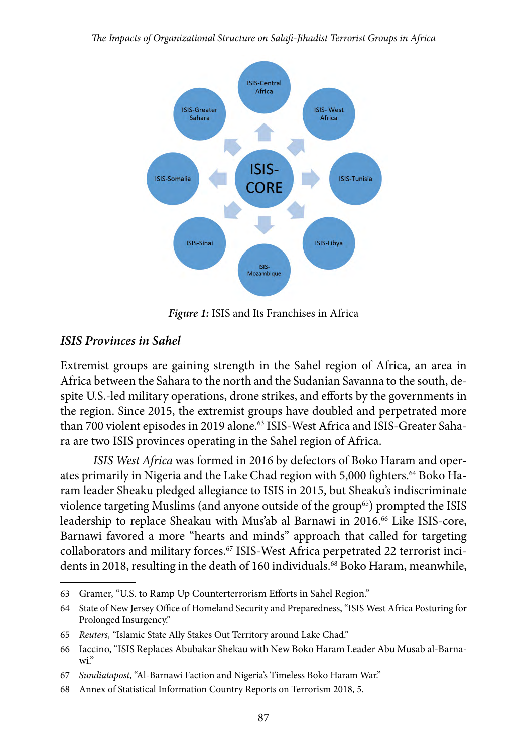*The Impacts of Organizational Structure on Salafi-Jihadist Terrorist Groups in Africa*



*Figure 1:* ISIS and Its Franchises in Africa

### *ISIS Provinces in Sahel*

Extremist groups are gaining strength in the Sahel region of Africa, an area in Africa between the Sahara to the north and the Sudanian Savanna to the south, despite U.S.-led military operations, drone strikes, and efforts by the governments in the region. Since 2015, the extremist groups have doubled and perpetrated more than 700 violent episodes in 2019 alone.<sup>63</sup> ISIS-West Africa and ISIS-Greater Sahara are two ISIS provinces operating in the Sahel region of Africa.

*ISIS West Africa* was formed in 2016 by defectors of Boko Haram and operates primarily in Nigeria and the Lake Chad region with 5,000 fighters.<sup>64</sup> Boko Haram leader Sheaku pledged allegiance to ISIS in 2015, but Sheaku's indiscriminate violence targeting Muslims (and anyone outside of the group<sup>65</sup>) prompted the ISIS leadership to replace Sheakau with Mus'ab al Barnawi in 2016.66 Like ISIS-core, Barnawi favored a more "hearts and minds" approach that called for targeting collaborators and military forces.<sup>67</sup> ISIS-West Africa perpetrated 22 terrorist incidents in 2018, resulting in the death of 160 individuals.<sup>68</sup> Boko Haram, meanwhile,

<sup>63</sup> Gramer, "U.S. to Ramp Up Counterterrorism Efforts in Sahel Region."

<sup>64</sup> State of New Jersey Office of Homeland Security and Preparedness, "ISIS West Africa Posturing for Prolonged Insurgency."

<sup>65</sup> *Reuters,* "Islamic State Ally Stakes Out Territory around Lake Chad."

<sup>66</sup> Iaccino, "ISIS Replaces Abubakar Shekau with New Boko Haram Leader Abu Musab al-Barnawi."

<sup>67</sup> *Sundiatapost*, "Al-Barnawi Faction and Nigeria's Timeless Boko Haram War."

<sup>68</sup> Annex of Statistical Information Country Reports on Terrorism 2018, 5.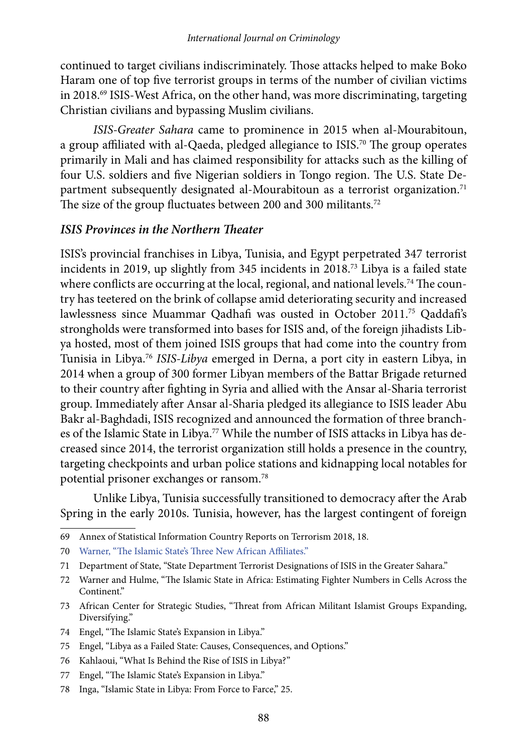continued to target civilians indiscriminately. Those attacks helped to make Boko Haram one of top five terrorist groups in terms of the number of civilian victims in 2018.69 ISIS-West Africa, on the other hand, was more discriminating, targeting Christian civilians and bypassing Muslim civilians.

*ISIS-Greater Sahara* came to prominence in 2015 when al-Mourabitoun, a group affiliated with al-Qaeda, pledged allegiance to ISIS.<sup>70</sup> The group operates primarily in Mali and has claimed responsibility for attacks such as the killing of four U.S. soldiers and five Nigerian soldiers in Tongo region. The U.S. State Department subsequently designated al-Mourabitoun as a terrorist organization.<sup>71</sup> The size of the group fluctuates between 200 and 300 militants.<sup>72</sup>

#### *ISIS Provinces in the Northern Theater*

ISIS's provincial franchises in Libya, Tunisia, and Egypt perpetrated 347 terrorist incidents in 2019, up slightly from 345 incidents in 2018.73 Libya is a failed state where conflicts are occurring at the local, regional, and national levels.<sup>74</sup> The country has teetered on the brink of collapse amid deteriorating security and increased lawlessness since Muammar Qadhafi was ousted in October 2011.75 Qaddafi's strongholds were transformed into bases for ISIS and, of the foreign jihadists Libya hosted, most of them joined ISIS groups that had come into the country from Tunisia in Libya.76 *ISIS-Libya* emerged in Derna, a port city in eastern Libya, in 2014 when a group of 300 former Libyan members of the Battar Brigade returned to their country after fighting in Syria and allied with the Ansar al-Sharia terrorist group. Immediately after Ansar al-Sharia pledged its allegiance to ISIS leader Abu Bakr al-Baghdadi, ISIS recognized and announced the formation of three branches of the Islamic State in Libya.<sup>77</sup> While the number of ISIS attacks in Libya has decreased since 2014, the terrorist organization still holds a presence in the country, targeting checkpoints and urban police stations and kidnapping local notables for potential prisoner exchanges or ransom.78

Unlike Libya, Tunisia successfully transitioned to democracy after the Arab Spring in the early 2010s. Tunisia, however, has the largest contingent of foreign

- 74 Engel, "The Islamic State's Expansion in Libya."
- 75 Engel, "Libya as a Failed State: Causes, Consequences, and Options."
- 76 Kahlaoui, "What Is Behind the Rise of ISIS in Libya?"
- 77 Engel, "The Islamic State's Expansion in Libya."
- 78 Inga, "Islamic State in Libya: From Force to Farce," 25.

<sup>69</sup> Annex of Statistical Information Country Reports on Terrorism 2018, 18.

<sup>70</sup> [Warner, "The Islamic State's Three New African Affiliates."](https://ctc.usma.edu/sub-saharan-africas-three-new-islamic-state-affiliates/) 

<sup>71</sup> Department of State, "State Department Terrorist Designations of ISIS in the Greater Sahara."

<sup>72</sup> Warner and Hulme, "The Islamic State in Africa: Estimating Fighter Numbers in Cells Across the Continent."

<sup>73</sup> African Center for Strategic Studies, "Threat from African Militant Islamist Groups Expanding, Diversifying."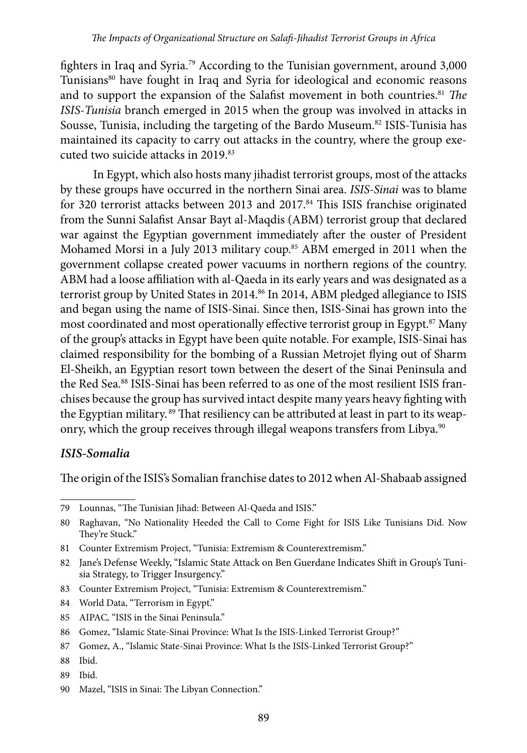fighters in Iraq and Syria.79 According to the Tunisian government, around 3,000 Tunisians<sup>80</sup> have fought in Iraq and Syria for ideological and economic reasons and to support the expansion of the Salafist movement in both countries.<sup>81</sup> *The ISIS-Tunisia* branch emerged in 2015 when the group was involved in attacks in Sousse, Tunisia, including the targeting of the Bardo Museum.<sup>82</sup> ISIS-Tunisia has maintained its capacity to carry out attacks in the country, where the group executed two suicide attacks in 2019.83

In Egypt, which also hosts many jihadist terrorist groups, most of the attacks by these groups have occurred in the northern Sinai area. *ISIS-Sinai* was to blame for 320 terrorist attacks between 2013 and 2017.<sup>84</sup> This ISIS franchise originated from the Sunni Salafist Ansar Bayt al-Maqdis (ABM) terrorist group that declared war against the Egyptian government immediately after the ouster of President Mohamed Morsi in a July 2013 military coup.<sup>85</sup> ABM emerged in 2011 when the government collapse created power vacuums in northern regions of the country. ABM had a loose affiliation with al-Qaeda in its early years and was designated as a terrorist group by United States in 2014.<sup>86</sup> In 2014, ABM pledged allegiance to ISIS and began using the name of ISIS-Sinai. Since then, ISIS-Sinai has grown into the most coordinated and most operationally effective terrorist group in Egypt.<sup>87</sup> Many of the group's attacks in Egypt have been quite notable. For example, ISIS-Sinai has claimed responsibility for the bombing of a Russian Metrojet flying out of Sharm El-Sheikh, an Egyptian resort town between the desert of the Sinai Peninsula and the Red Sea.<sup>88</sup> ISIS-Sinai has been referred to as one of the most resilient ISIS franchises because the group has survived intact despite many years heavy fighting with the Egyptian military.<sup>89</sup> That resiliency can be attributed at least in part to its weaponry, which the group receives through illegal weapons transfers from Libya.<sup>90</sup>

#### *ISIS-Somalia*

The origin of the ISIS's Somalian franchise dates to 2012 when Al-Shabaab assigned

- 83 Counter Extremism Project, "Tunisia: Extremism & Counterextremism."
- 84 World Data, "Terrorism in Egypt."
- 85 AIPAC*,* "ISIS in the Sinai Peninsula."

- 88 Ibid.
- 89 Ibid.

<sup>79</sup> Lounnas, "The Tunisian Jihad: Between Al-Qaeda and ISIS."

<sup>80</sup> Raghavan, "No Nationality Heeded the Call to Come Fight for ISIS Like Tunisians Did. Now They're Stuck."

<sup>81</sup> Counter Extremism Project, "Tunisia: Extremism & Counterextremism."

<sup>82</sup> Jane's Defense Weekly, "Islamic State Attack on Ben Guerdane Indicates Shift in Group's Tunisia Strategy, to Trigger Insurgency."

<sup>86</sup> Gomez, "Islamic State-Sinai Province: What Is the ISIS-Linked Terrorist Group?"

<sup>87</sup> Gomez, A., "Islamic State-Sinai Province: What Is the ISIS-Linked Terrorist Group?"

<sup>90</sup> Mazel, "ISIS in Sinai: The Libyan Connection."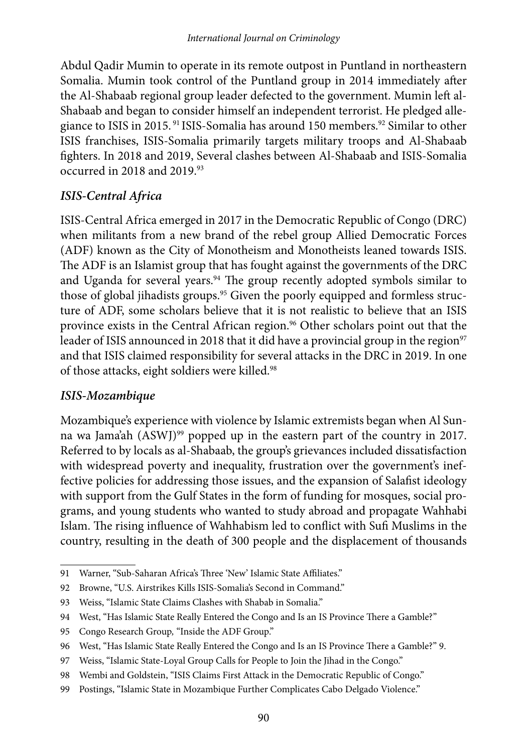Abdul Qadir Mumin to operate in its remote outpost in Puntland in northeastern Somalia. Mumin took control of the Puntland group in 2014 immediately after the Al-Shabaab regional group leader defected to the government. Mumin left al-Shabaab and began to consider himself an independent terrorist. He pledged allegiance to ISIS in 2015.<sup>91</sup> ISIS-Somalia has around 150 members.<sup>92</sup> Similar to other ISIS franchises, ISIS-Somalia primarily targets military troops and Al-Shabaab fighters. In 2018 and 2019, Several clashes between Al-Shabaab and ISIS-Somalia occurred in 2018 and 2019.<sup>93</sup>

### *ISIS-Central Africa*

ISIS-Central Africa emerged in 2017 in the Democratic Republic of Congo (DRC) when militants from a new brand of the rebel group Allied Democratic Forces (ADF) known as the City of Monotheism and Monotheists leaned towards ISIS. The ADF is an Islamist group that has fought against the governments of the DRC and Uganda for several years.<sup>94</sup> The group recently adopted symbols similar to those of global jihadists groups.<sup>95</sup> Given the poorly equipped and formless structure of ADF, some scholars believe that it is not realistic to believe that an ISIS province exists in the Central African region.<sup>96</sup> Other scholars point out that the leader of ISIS announced in 2018 that it did have a provincial group in the region<sup>97</sup> and that ISIS claimed responsibility for several attacks in the DRC in 2019. In one of those attacks, eight soldiers were killed.<sup>98</sup>

### *ISIS-Mozambique*

Mozambique's experience with violence by Islamic extremists began when Al Sunna wa Jama'ah (ASWJ)<sup>99</sup> popped up in the eastern part of the country in 2017. Referred to by locals as al-Shabaab, the group's grievances included dissatisfaction with widespread poverty and inequality, frustration over the government's ineffective policies for addressing those issues, and the expansion of Salafist ideology with support from the Gulf States in the form of funding for mosques, social programs, and young students who wanted to study abroad and propagate Wahhabi Islam. The rising influence of Wahhabism led to conflict with Sufi Muslims in the country, resulting in the death of 300 people and the displacement of thousands

<sup>91</sup> Warner, "Sub-Saharan Africa's Three 'New' Islamic State Affiliates."

<sup>92</sup> Browne, "U.S. Airstrikes Kills ISIS-Somalia's Second in Command."

<sup>93</sup> Weiss, "Islamic State Claims Clashes with Shabab in Somalia."

<sup>94</sup> West, "Has Islamic State Really Entered the Congo and Is an IS Province There a Gamble?"

<sup>95</sup> Congo Research Group*,* "Inside the ADF Group."

<sup>96</sup> West, "Has Islamic State Really Entered the Congo and Is an IS Province There a Gamble?" 9.

<sup>97</sup> Weiss, "Islamic State-Loyal Group Calls for People to Join the Jihad in the Congo."

<sup>98</sup> Wembi and Goldstein, "ISIS Claims First Attack in the Democratic Republic of Congo."

<sup>99</sup> Postings, "Islamic State in Mozambique Further Complicates Cabo Delgado Violence."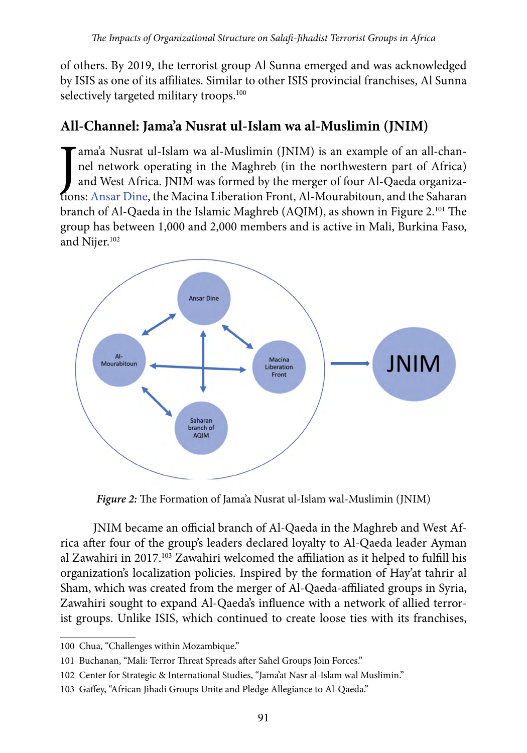of others. By 2019, the terrorist group Al Sunna emerged and was acknowledged by ISIS as one of its affiliates. Similar to other ISIS provincial franchises, Al Sunna selectively targeted military troops.<sup>100</sup>

# **All-Channel: Jama'a Nusrat ul-Islam wa al-Muslimin (JNIM)**

ama'a Nusrat ul-Islam wa al-Muslimin (JNIM) is an example of an all-channel network operating in the Maghreb (in the northwestern part of Africa) and West Africa. JNIM was formed by the merger of four Al-Qaeda organization ama'a Nusrat ul-Islam wa al-Muslimin (JNIM) is an example of an all-channel network operating in the Maghreb (in the northwestern part of Africa) and West Africa. JNIM was formed by the merger of four Al-Qaeda organizabranch of Al-Qaeda in the Islamic Maghreb (AQIM), as shown in Figure 2.101 The group has between 1,000 and 2,000 members and is active in Mali, Burkina Faso, and Nijer.<sup>102</sup>



*Figure 2:* The Formation of Jama'a Nusrat ul-Islam wal-Muslimin (JNIM)

JNIM became an official branch of Al-Qaeda in the Maghreb and West Africa after four of the group's leaders declared loyalty to Al-Qaeda leader Ayman al Zawahiri in 2017.103 Zawahiri welcomed the affiliation as it helped to fulfill his organization's localization policies. Inspired by the formation of Hay'at tahrir al Sham, which was created from the merger of Al-Qaeda-affiliated groups in Syria, Zawahiri sought to expand Al-Qaeda's influence with a network of allied terrorist groups. Unlike ISIS, which continued to create loose ties with its franchises,

<sup>100</sup> Chua, "Challenges within Mozambique."

<sup>101</sup> Buchanan, "Mali: Terror Threat Spreads after Sahel Groups Join Forces."

<sup>102</sup> Center for Strategic & International Studies, "Jama'at Nasr al-Islam wal Muslimin."

<sup>103</sup> Gaffey, "African Jihadi Groups Unite and Pledge Allegiance to Al-Qaeda."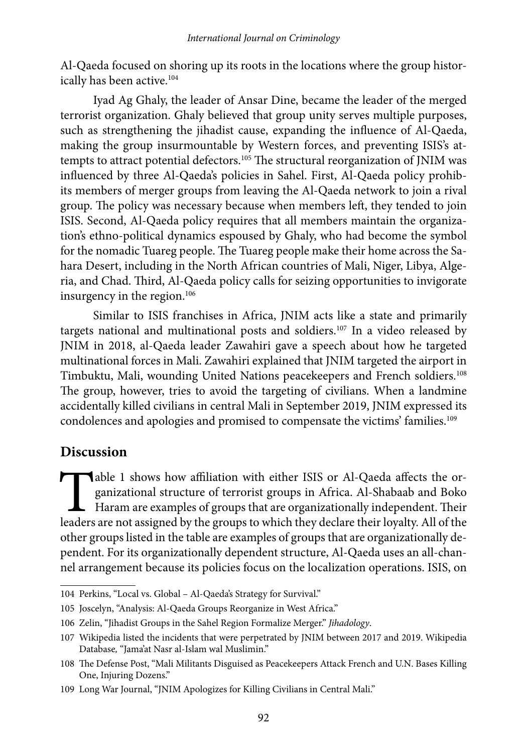Al-Qaeda focused on shoring up its roots in the locations where the group historically has been active.<sup>104</sup>

Iyad Ag Ghaly, the leader of Ansar Dine, became the leader of the merged terrorist organization. Ghaly believed that group unity serves multiple purposes, such as strengthening the jihadist cause, expanding the influence of Al-Qaeda, making the group insurmountable by Western forces, and preventing ISIS's attempts to attract potential defectors.105 The structural reorganization of JNIM was influenced by three Al-Qaeda's policies in Sahel. First, Al-Qaeda policy prohibits members of merger groups from leaving the Al-Qaeda network to join a rival group. The policy was necessary because when members left, they tended to join ISIS. Second, Al-Qaeda policy requires that all members maintain the organization's ethno-political dynamics espoused by Ghaly, who had become the symbol for the nomadic Tuareg people. The Tuareg people make their home across the Sahara Desert, including in the North African countries of Mali, Niger, Libya, Algeria, and Chad. Third, Al-Qaeda policy calls for seizing opportunities to invigorate insurgency in the region.<sup>106</sup>

Similar to ISIS franchises in Africa, JNIM acts like a state and primarily targets national and multinational posts and soldiers.<sup>107</sup> In a video released by JNIM in 2018, al-Qaeda leader Zawahiri gave a speech about how he targeted multinational forces in Mali. Zawahiri explained that JNIM targeted the airport in Timbuktu, Mali, wounding United Nations peacekeepers and French soldiers.<sup>108</sup> The group, however, tries to avoid the targeting of civilians. When a landmine accidentally killed civilians in central Mali in September 2019, JNIM expressed its condolences and apologies and promised to compensate the victims' families.<sup>109</sup>

### **Discussion**

Table 1 shows how affiliation with either ISIS or Al-Qaeda affects the organizational structure of terrorist groups in Africa. Al-Shabaab and Boko Haram are examples of groups that are organizationally independent. Their l ganizational structure of terrorist groups in Africa. Al-Shabaab and Boko Haram are examples of groups that are organizationally independent. Their other groups listed in the table are examples of groups that are organizationally dependent. For its organizationally dependent structure, Al-Qaeda uses an all-channel arrangement because its policies focus on the localization operations. ISIS, on

<sup>104</sup> Perkins, "Local vs. Global – Al-Qaeda's Strategy for Survival."

<sup>105</sup> Joscelyn, "Analysis: Al-Qaeda Groups Reorganize in West Africa."

<sup>106</sup> Zelin, "Jihadist Groups in the Sahel Region Formalize Merger." *Jihadology*.

<sup>107</sup> Wikipedia listed the incidents that were perpetrated by JNIM between 2017 and 2019. Wikipedia Database*,* "Jama'at Nasr al-Islam wal Muslimin."

<sup>108</sup> The Defense Post, "Mali Militants Disguised as Peacekeepers Attack French and U.N. Bases Killing One, Injuring Dozens."

<sup>109</sup> Long War Journal, "JNIM Apologizes for Killing Civilians in Central Mali."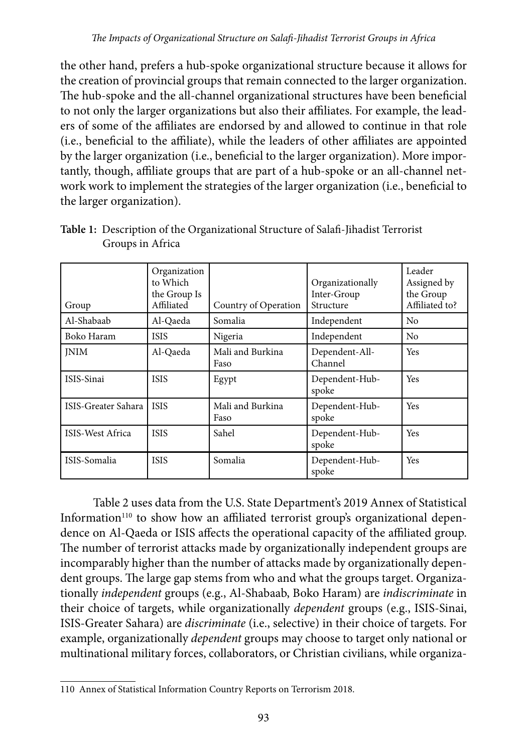the other hand, prefers a hub-spoke organizational structure because it allows for the creation of provincial groups that remain connected to the larger organization. The hub-spoke and the all-channel organizational structures have been beneficial to not only the larger organizations but also their affiliates. For example, the leaders of some of the affiliates are endorsed by and allowed to continue in that role (i.e., beneficial to the affiliate), while the leaders of other affiliates are appointed by the larger organization (i.e., beneficial to the larger organization). More importantly, though, affiliate groups that are part of a hub-spoke or an all-channel network work to implement the strategies of the larger organization (i.e., beneficial to the larger organization).

| Group               | Organization<br>to Which<br>the Group Is<br>Affiliated | Country of Operation     | Organizationally<br>Inter-Group<br>Structure | Leader<br>Assigned by<br>the Group<br>Affiliated to? |
|---------------------|--------------------------------------------------------|--------------------------|----------------------------------------------|------------------------------------------------------|
| Al-Shabaab          | Al-Qaeda                                               | Somalia                  | Independent                                  | No                                                   |
| Boko Haram          | <b>ISIS</b>                                            | Nigeria                  | Independent                                  | No                                                   |
| <b>INIM</b>         | Al-Qaeda                                               | Mali and Burkina<br>Faso | Dependent-All-<br>Channel                    | <b>Yes</b>                                           |
| ISIS-Sinai          | <b>ISIS</b>                                            | Egypt                    | Dependent-Hub-<br>spoke                      | <b>Yes</b>                                           |
| ISIS-Greater Sahara | <b>ISIS</b>                                            | Mali and Burkina<br>Faso | Dependent-Hub-<br>spoke                      | Yes                                                  |
| ISIS-West Africa    | <b>ISIS</b>                                            | Sahel                    | Dependent-Hub-<br>spoke                      | <b>Yes</b>                                           |
| ISIS-Somalia        | <b>ISIS</b>                                            | Somalia                  | Dependent-Hub-<br>spoke                      | Yes                                                  |

**Table 1:** Description of the Organizational Structure of Salafi-Jihadist Terrorist Groups in Africa

Table 2 uses data from the U.S. State Department's 2019 Annex of Statistical Information<sup>110</sup> to show how an affiliated terrorist group's organizational dependence on Al-Qaeda or ISIS affects the operational capacity of the affiliated group. The number of terrorist attacks made by organizationally independent groups are incomparably higher than the number of attacks made by organizationally dependent groups. The large gap stems from who and what the groups target. Organizationally *independent* groups (e.g., Al-Shabaab, Boko Haram) are *indiscriminate* in their choice of targets, while organizationally *dependent* groups (e.g., ISIS-Sinai, ISIS-Greater Sahara) are *discriminate* (i.e., selective) in their choice of targets. For example, organizationally *dependent* groups may choose to target only national or multinational military forces, collaborators, or Christian civilians, while organiza-

<sup>110</sup> Annex of Statistical Information Country Reports on Terrorism 2018.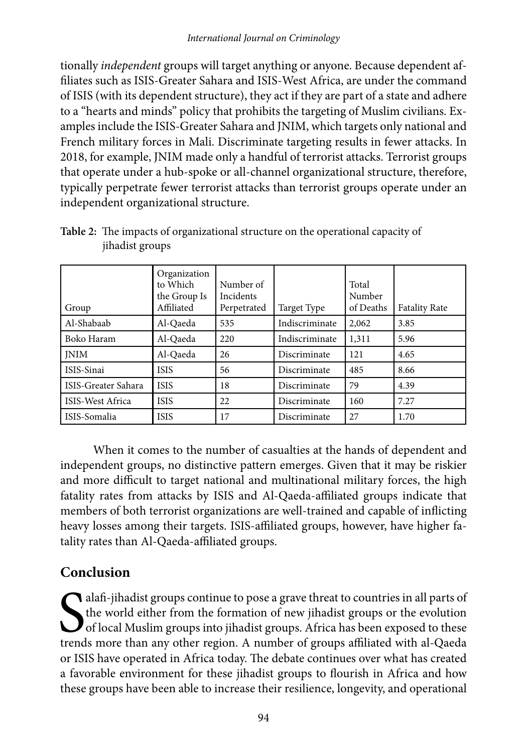tionally *independent* groups will target anything or anyone. Because dependent affiliates such as ISIS-Greater Sahara and ISIS-West Africa, are under the command of ISIS (with its dependent structure), they act if they are part of a state and adhere to a "hearts and minds" policy that prohibits the targeting of Muslim civilians. Examples include the ISIS-Greater Sahara and JNIM, which targets only national and French military forces in Mali. Discriminate targeting results in fewer attacks. In 2018, for example, JNIM made only a handful of terrorist attacks. Terrorist groups that operate under a hub-spoke or all-channel organizational structure, therefore, typically perpetrate fewer terrorist attacks than terrorist groups operate under an independent organizational structure.

| Group               | Organization<br>to Which<br>the Group Is<br>Affiliated | Number of<br>Incidents<br>Perpetrated | Target Type    | Total<br>Number<br>of Deaths | <b>Fatality Rate</b> |
|---------------------|--------------------------------------------------------|---------------------------------------|----------------|------------------------------|----------------------|
| Al-Shabaab          | Al-Qaeda                                               | 535                                   | Indiscriminate | 2,062                        | 3.85                 |
| Boko Haram          | Al-Qaeda                                               | 220                                   | Indiscriminate | 1,311                        | 5.96                 |
| <b>INIM</b>         | Al-Qaeda                                               | 26                                    | Discriminate   | 121                          | 4.65                 |
| ISIS-Sinai          | <b>ISIS</b>                                            | 56                                    | Discriminate   | 485                          | 8.66                 |
| ISIS-Greater Sahara | <b>ISIS</b>                                            | 18                                    | Discriminate   | 79                           | 4.39                 |
| ISIS-West Africa    | <b>ISIS</b>                                            | 22                                    | Discriminate   | 160                          | 7.27                 |
| ISIS-Somalia        | <b>ISIS</b>                                            | 17                                    | Discriminate   | 27                           | 1.70                 |

**Table 2:** The impacts of organizational structure on the operational capacity of jihadist groups

When it comes to the number of casualties at the hands of dependent and independent groups, no distinctive pattern emerges. Given that it may be riskier and more difficult to target national and multinational military forces, the high fatality rates from attacks by ISIS and Al-Qaeda-affiliated groups indicate that members of both terrorist organizations are well-trained and capable of inflicting heavy losses among their targets. ISIS-affiliated groups, however, have higher fatality rates than Al-Qaeda-affiliated groups.

# **Conclusion**

S<sub>trend</sub>  $\bigcap$ alafi-jihadist groups continue to pose a grave threat to countries in all parts of the world either from the formation of new jihadist groups or the evolution of local Muslim groups into jihadist groups. Africa has been exposed to these trends more than any other region. A number of groups affiliated with al-Qaeda or ISIS have operated in Africa today. The debate continues over what has created a favorable environment for these jihadist groups to flourish in Africa and how these groups have been able to increase their resilience, longevity, and operational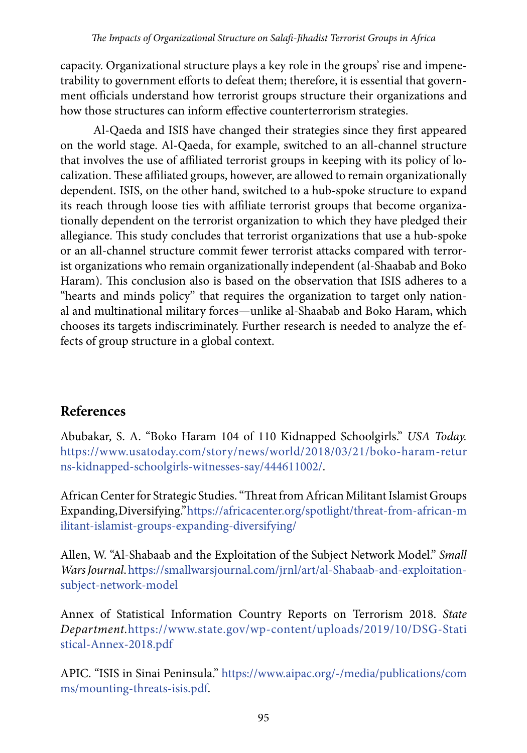capacity. Organizational structure plays a key role in the groups' rise and impenetrability to government efforts to defeat them; therefore, it is essential that government officials understand how terrorist groups structure their organizations and how those structures can inform effective counterterrorism strategies.

Al-Qaeda and ISIS have changed their strategies since they first appeared on the world stage. Al-Qaeda, for example, switched to an all-channel structure that involves the use of affiliated terrorist groups in keeping with its policy of localization. These affiliated groups, however, are allowed to remain organizationally dependent. ISIS, on the other hand, switched to a hub-spoke structure to expand its reach through loose ties with affiliate terrorist groups that become organizationally dependent on the terrorist organization to which they have pledged their allegiance. This study concludes that terrorist organizations that use a hub-spoke or an all-channel structure commit fewer terrorist attacks compared with terrorist organizations who remain organizationally independent (al-Shaabab and Boko Haram). This conclusion also is based on the observation that ISIS adheres to a "hearts and minds policy" that requires the organization to target only national and multinational military forces—unlike al-Shaabab and Boko Haram, which chooses its targets indiscriminately. Further research is needed to analyze the effects of group structure in a global context.

## **References**

Abubakar, S. A. "Boko Haram 104 of 110 Kidnapped Schoolgirls." *USA Today.*  [https://www.usatoday.com/story/news/world/2018/03/21/boko-haram-retur](https://www.usatoday.com/story/news/world/2018/03/21/boko-haram-returns-kidnapped-schoolgirls-witnesses-say/444611002/) [ns-kidnapped-schoolgirls-witnesses-say/444611002/](https://www.usatoday.com/story/news/world/2018/03/21/boko-haram-returns-kidnapped-schoolgirls-witnesses-say/444611002/).

African Center for Strategic Studies. "Threat from African Militant Islamist Groups Expanding, Diversifying."[https://africacenter.org/spotlight/threat-from-african-m](https://africacenter.org/spotlight/threat-from-african-militant-islamist-groups-expanding-diversifying/) [ilitant-islamist-groups-expanding-diversifying/](https://africacenter.org/spotlight/threat-from-african-militant-islamist-groups-expanding-diversifying/)

Allen, W. "Al-Shabaab and the Exploitation of the Subject Network Model." *Small Wars Journal*. [https://smallwarsjournal.com/jrnl/art/al-Shabaab-and-exploitation](https://smallwarsjournal.com/jrnl/art/al-shabaab-and-exploitation-subject-network-model)[subject-network-model](https://smallwarsjournal.com/jrnl/art/al-shabaab-and-exploitation-subject-network-model)

Annex of Statistical Information Country Reports on Terrorism 2018. *State Department.*[https://www.state.gov/wp-content/uploads/2019/10/DSG-Stati](https://www.state.gov/wp-content/uploads/2019/10/DSG-Statistical-Annex-2018.pdf) [stical-Annex-2018.pdf](https://www.state.gov/wp-content/uploads/2019/10/DSG-Statistical-Annex-2018.pdf)

APIC. "ISIS in Sinai Peninsula." [https://www.aipac.org/-/media/publications/com](https://www.aipac.org/-/media/publications/comms/mounting-threats-isis.pdf) [ms/mounting-threats-isis.pdf.](https://www.aipac.org/-/media/publications/comms/mounting-threats-isis.pdf)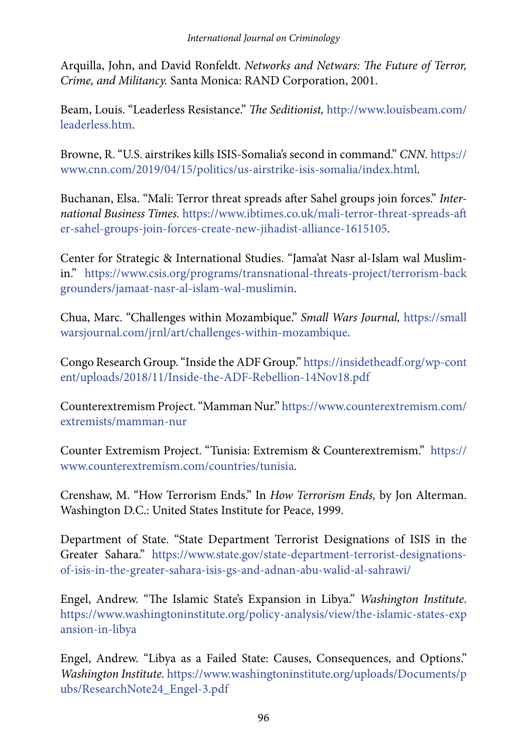Arquilla, John, and David Ronfeldt. *Networks and Netwars: The Future of Terror, Crime, and Militancy.* Santa Monica: RAND Corporation, 2001.

Beam, Louis. "Leaderless Resistance." *The Seditionist,* [http://www.louisbeam.com/](http://www.louisbeam.com/leaderless.htm) [leaderless.htm](http://www.louisbeam.com/leaderless.htm).

Browne, R. "U.S. airstrikes kills ISIS-Somalia's second in command." *CNN.* [https://](https://www.cnn.com/2019/04/15/politics/us-airstrike-isis-somalia/index.html) [www.cnn.com/2019/04/15/politics/us-airstrike-isis-somalia/index.html.](https://www.cnn.com/2019/04/15/politics/us-airstrike-isis-somalia/index.html)

Buchanan, Elsa. "Mali: Terror threat spreads after Sahel groups join forces." *International Business Times.* [https://www.ibtimes.co.uk/mali-terror-threat-spreads-aft](https://www.ibtimes.co.uk/mali-terror-threat-spreads-after-sahel-groups-join-forces-create-new-jihadist-alliance-1615105) [er-sahel-groups-join-forces-create-new-jihadist-alliance-1615105](https://www.ibtimes.co.uk/mali-terror-threat-spreads-after-sahel-groups-join-forces-create-new-jihadist-alliance-1615105).

Center for Strategic & International Studies. "Jama'at Nasr al-Islam wal Muslimin." [https://www.csis.org/programs/transnational-threats-project/terrorism-back](https://www.csis.org/programs/transnational-threats-project/terrorism-backgrounders/jamaat-nasr-al-islam-wal-muslimin) [grounders/jamaat-nasr-al-islam-wal-muslimin](https://www.csis.org/programs/transnational-threats-project/terrorism-backgrounders/jamaat-nasr-al-islam-wal-muslimin).

Chua, Marc. "Challenges within Mozambique." *Small Wars Journal,* [https://small](https://smallwarsjournal.com/jrnl/art/challenges-within-mozambique) [warsjournal.com/jrnl/art/challenges-within-mozambique](https://smallwarsjournal.com/jrnl/art/challenges-within-mozambique).

Congo Research Group. "Inside the ADF Group." [https://insidetheadf.org/wp-cont](https://insidetheadf.org/wp-content/uploads/2018/11/Inside-the-ADF-Rebellion-14Nov18.pdf) [ent/uploads/2018/11/Inside-the-ADF-Rebellion-14Nov18.pdf](https://insidetheadf.org/wp-content/uploads/2018/11/Inside-the-ADF-Rebellion-14Nov18.pdf)

Counterextremism Project. "Mamman Nur." [https://www.counterextremism.com/](https://www.counterextremism.com/extremists/mamman-nur) [extremists/mamman-nur](https://www.counterextremism.com/extremists/mamman-nur)

Counter Extremism Project. "Tunisia: Extremism & Counterextremism." [https://](https://www.counterextremism.com/countries/tunisia) [www.counterextremism.com/countries/tunisia](https://www.counterextremism.com/countries/tunisia).

Crenshaw, M. "How Terrorism Ends." In *How Terrorism Ends,* by Jon Alterman. Washington D.C.: United States Institute for Peace, 1999.

Department of State. "State Department Terrorist Designations of ISIS in the Greater Sahara." [https://www.state.gov/state-department-terrorist-designations](https://www.state.gov/state-department-terrorist-designations-of-isis-in-the-greater-sahara-isis-gs-and-adnan-abu-walid-al-sahrawi/)[of-isis-in-the-greater-sahara-isis-gs-and-adnan-abu-walid-al-sahrawi/](https://www.state.gov/state-department-terrorist-designations-of-isis-in-the-greater-sahara-isis-gs-and-adnan-abu-walid-al-sahrawi/)

Engel, Andrew. "The Islamic State's Expansion in Libya." *Washington Institute*. [https://www.washingtoninstitute.org/policy-analysis/view/the-islamic-states-exp](https://www.washingtoninstitute.org/policy-analysis/view/the-islamic-states-expansion-in-libya) [ansion-in-libya](https://www.washingtoninstitute.org/policy-analysis/view/the-islamic-states-expansion-in-libya)

Engel, Andrew. "Libya as a Failed State: Causes, Consequences, and Options." *Washington Institute.* [https://www.washingtoninstitute.org/uploads/Documents/p](https://www.washingtoninstitute.org/uploads/Documents/pubs/ResearchNote24_Engel-3.pdf) [ubs/ResearchNote24\\_Engel-3.pdf](https://www.washingtoninstitute.org/uploads/Documents/pubs/ResearchNote24_Engel-3.pdf)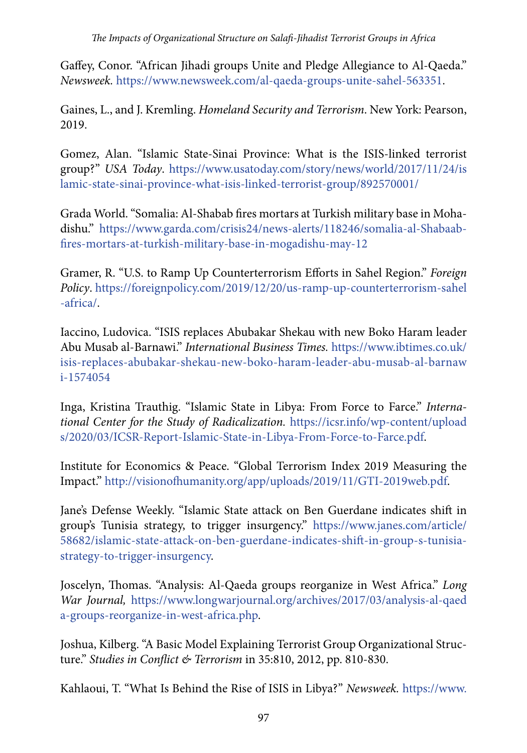Gaffey, Conor. "African Jihadi groups Unite and Pledge Allegiance to Al-Qaeda." *Newsweek.* <https://www.newsweek.com/al-qaeda-groups-unite-sahel-563351>.

Gaines, L., and J. Kremling. *Homeland Security and Terrorism*. New York: Pearson, 2019.

Gomez, Alan. "Islamic State-Sinai Province: What is the ISIS-linked terrorist group?" *USA Today*. [https://www.usatoday.com/story/news/world/2017/11/24/is](https://www.usatoday.com/story/news/world/2017/11/24/islamic-state-sinai-province-what-isis-linked-terrorist-group/892570001/) [lamic-state-sinai-province-what-isis-linked-terrorist-group/892570001/](https://www.usatoday.com/story/news/world/2017/11/24/islamic-state-sinai-province-what-isis-linked-terrorist-group/892570001/)

Grada World. "Somalia: Al-Shabab fires mortars at Turkish military base in Mohadishu." [https://www.garda.com/crisis24/news-alerts/118246/somalia-al-Shabaab](https://www.garda.com/crisis24/news-alerts/118246/somalia-al-shabaab-fires-mortars-at-turkish-military-base-in-mogadishu-may-12)[fires-mortars-at-turkish-military-base-in-mogadishu-may-12](https://www.garda.com/crisis24/news-alerts/118246/somalia-al-shabaab-fires-mortars-at-turkish-military-base-in-mogadishu-may-12)

Gramer, R. "U.S. to Ramp Up Counterterrorism Efforts in Sahel Region." *Foreign Policy*. [https://foreignpolicy.com/2019/12/20/us-ramp-up-counterterrorism-sahel](https://foreignpolicy.com/2019/12/20/us-ramp-up-counterterrorism-sahel-africa/) [-africa/.](https://foreignpolicy.com/2019/12/20/us-ramp-up-counterterrorism-sahel-africa/)

Iaccino, Ludovica. "ISIS replaces Abubakar Shekau with new Boko Haram leader Abu Musab al-Barnawi." *International Business Times.* [https://www.ibtimes.co.uk/](https://www.ibtimes.co.uk/isis-replaces-abubakar-shekau-new-boko-haram-leader-abu-musab-al-barnawi-1574054) [isis-replaces-abubakar-shekau-new-boko-haram-leader-abu-musab-al-barnaw](https://www.ibtimes.co.uk/isis-replaces-abubakar-shekau-new-boko-haram-leader-abu-musab-al-barnawi-1574054) [i-1574054](https://www.ibtimes.co.uk/isis-replaces-abubakar-shekau-new-boko-haram-leader-abu-musab-al-barnawi-1574054)

Inga, Kristina Trauthig. "Islamic State in Libya: From Force to Farce." *International Center for the Study of Radicalization.* [https://icsr.info/wp-content/upload](https://icsr.info/wp-content/uploads/2020/03/ICSR-Report-Islamic-State-in-Libya-From-Force-to-Farce.pdf) [s/2020/03/ICSR-Report-Islamic-State-in-Libya-From-Force-to-Farce.pdf](https://icsr.info/wp-content/uploads/2020/03/ICSR-Report-Islamic-State-in-Libya-From-Force-to-Farce.pdf).

Institute for Economics & Peace. "Global Terrorism Index 2019 Measuring the Impact." [http://visionofhumanity.org/app/uploads/2019/11/GTI-2019web.pdf.](http://visionofhumanity.org/app/uploads/2019/11/GTI-2019web.pdf)

Jane's Defense Weekly. "Islamic State attack on Ben Guerdane indicates shift in group's Tunisia strategy, to trigger insurgency." [https://www.janes.com/article/](https://www.janes.com/article/58682/islamic-state-attack-on-ben-guerdane-indicates-shift-in-group-s-tunisia-strategy-to-trigger-insurgency) [58682/islamic-state-attack-on-ben-guerdane-indicates-shift-in-group-s-tunisia](https://www.janes.com/article/58682/islamic-state-attack-on-ben-guerdane-indicates-shift-in-group-s-tunisia-strategy-to-trigger-insurgency)[strategy-to-trigger-insurgency.](https://www.janes.com/article/58682/islamic-state-attack-on-ben-guerdane-indicates-shift-in-group-s-tunisia-strategy-to-trigger-insurgency)

Joscelyn, Thomas. "Analysis: Al-Qaeda groups reorganize in West Africa." *Long War Journal,* [https://www.longwarjournal.org/archives/2017/03/analysis-al-qaed](https://www.longwarjournal.org/archives/2017/03/analysis-al-qaeda-groups-reorganize-in-west-africa.php) [a-groups-reorganize-in-west-africa.php.](https://www.longwarjournal.org/archives/2017/03/analysis-al-qaeda-groups-reorganize-in-west-africa.php)

Joshua, Kilberg. "A Basic Model Explaining Terrorist Group Organizational Structure." *Studies in Conflict & Terrorism* in 35:810, 2012, pp. 810-830.

Kahlaoui, T. "What Is Behind the Rise of ISIS in Libya?" *Newsweek.* [https://www.](https://www.newsweek.com/understanding-rise-islamic-state-isis-libya-437931)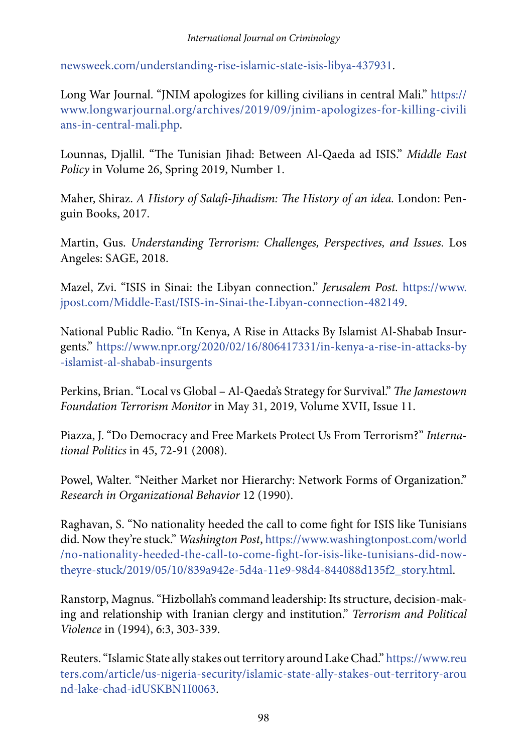[newsweek.com/understanding-rise-islamic-state-isis-libya-437931](https://www.newsweek.com/understanding-rise-islamic-state-isis-libya-437931).

Long War Journal. "JNIM apologizes for killing civilians in central Mali." [https://](https://www.longwarjournal.org/archives/2019/09/jnim-apologizes-for-killing-civilians-in-central-mali.php) [www.longwarjournal.org/archives/2019/09/jnim-apologizes-for-killing-civili](https://www.longwarjournal.org/archives/2019/09/jnim-apologizes-for-killing-civilians-in-central-mali.php) [ans-in-central-mali.php.](https://www.longwarjournal.org/archives/2019/09/jnim-apologizes-for-killing-civilians-in-central-mali.php)

Lounnas, Djallil. "The Tunisian Jihad: Between Al-Qaeda ad ISIS." *Middle East Policy* in Volume 26, Spring 2019, Number 1.

Maher, Shiraz. *A History of Salafi-Jihadism: The History of an idea.* London: Penguin Books, 2017.

Martin, Gus. *Understanding Terrorism: Challenges, Perspectives, and Issues.* Los Angeles: SAGE, 2018.

Mazel, Zvi. "ISIS in Sinai: the Libyan connection." *Jerusalem Post.* [https://www.](https://www.jpost.com/Middle-East/ISIS-in-Sinai-the-Libyan-connection-482149) [jpost.com/Middle-East/ISIS-in-Sinai-the-Libyan-connection-482149.](https://www.jpost.com/Middle-East/ISIS-in-Sinai-the-Libyan-connection-482149)

National Public Radio. "In Kenya, A Rise in Attacks By Islamist Al-Shabab Insurgents." [https://www.npr.org/2020/02/16/806417331/in-kenya-a-rise-in-attacks-by](https://www.npr.org/2020/02/16/806417331/in-kenya-a-rise-in-attacks-by-islamist-al-shabab-insurgents) [-islamist-al-shabab-insurgents](https://www.npr.org/2020/02/16/806417331/in-kenya-a-rise-in-attacks-by-islamist-al-shabab-insurgents)

Perkins, Brian. "Local vs Global – Al-Qaeda's Strategy for Survival." *The Jamestown Foundation Terrorism Monitor* in May 31, 2019, Volume XVII, Issue 11.

Piazza, J. "Do Democracy and Free Markets Protect Us From Terrorism?" *International Politics* in 45, 72-91 (2008).

Powel, Walter. "Neither Market nor Hierarchy: Network Forms of Organization." *Research in Organizational Behavior* 12 (1990).

Raghavan, S. "No nationality heeded the call to come fight for ISIS like Tunisians did. Now they're stuck." *Washington Post*, [https://www.washingtonpost.com/world](https://www.washingtonpost.com/world/no-nationality-heeded-the-call-to-come-fight-for-isis-like-tunisians-did-now-theyre-stuck/2019/05/10/839a942e-5d4a-11e9-98d4-844088d135f2_story.html) [/no-nationality-heeded-the-call-to-come-fight-for-isis-like-tunisians-did-now](https://www.washingtonpost.com/world/no-nationality-heeded-the-call-to-come-fight-for-isis-like-tunisians-did-now-theyre-stuck/2019/05/10/839a942e-5d4a-11e9-98d4-844088d135f2_story.html)[theyre-stuck/2019/05/10/839a942e-5d4a-11e9-98d4-844088d135f2\\_story.html.](https://www.washingtonpost.com/world/no-nationality-heeded-the-call-to-come-fight-for-isis-like-tunisians-did-now-theyre-stuck/2019/05/10/839a942e-5d4a-11e9-98d4-844088d135f2_story.html)

Ranstorp, Magnus. "Hizbollah's command leadership: Its structure, decision‐making and relationship with Iranian clergy and institution." *Terrorism and Political Violence* in (1994), 6:3, 303-339.

Reuters. "Islamic State ally stakes out territory around Lake Chad." [https://www.reu](https://www.reuters.com/article/us-nigeria-security/islamic-state-ally-stakes-out-territory-arou nd-lake-chad-idUSKBN1I0063) [ters.com/article/us-nigeria-security/islamic-state-ally-stakes-out-territory-arou](https://www.reuters.com/article/us-nigeria-security/islamic-state-ally-stakes-out-territory-arou nd-lake-chad-idUSKBN1I0063) [nd-lake-chad-idUSKBN1I0063](https://www.reuters.com/article/us-nigeria-security/islamic-state-ally-stakes-out-territory-arou nd-lake-chad-idUSKBN1I0063).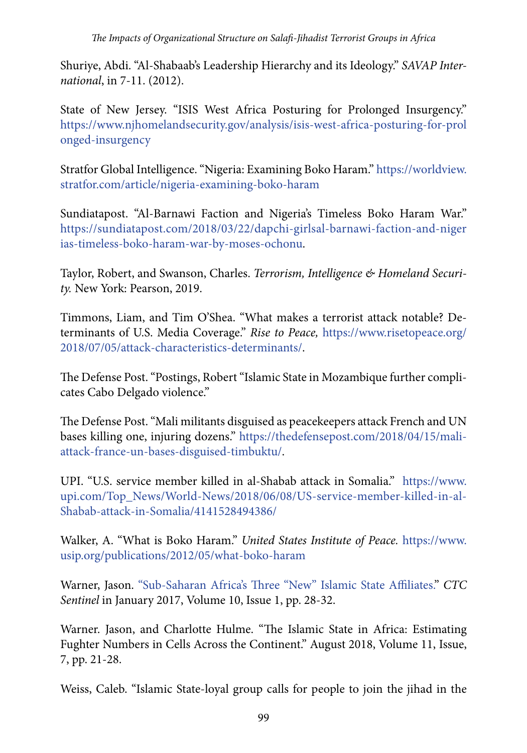Shuriye, Abdi. "Al-Shabaab's Leadership Hierarchy and its Ideology." *SAVAP International*, in 7-11. (2012).

State of New Jersey. "ISIS West Africa Posturing for Prolonged Insurgency." [https://www.njhomelandsecurity.gov/analysis/isis-west-africa-posturing-for-prol](https://www.njhomelandsecurity.gov/analysis/isis-west-africa-posturing-for-prolonged-insurgency) [onged-insurgency](https://www.njhomelandsecurity.gov/analysis/isis-west-africa-posturing-for-prolonged-insurgency)

Stratfor Global Intelligence. "Nigeria: Examining Boko Haram." [https://worldview.](https://worldview.stratfor.com/article/nigeria-examining-boko-haram) [stratfor.com/article/nigeria-examining-boko-haram](https://worldview.stratfor.com/article/nigeria-examining-boko-haram)

Sundiatapost. "Al-Barnawi Faction and Nigeria's Timeless Boko Haram War." [https://sundiatapost.com/2018/03/22/dapchi-girlsal-barnawi-faction-and-niger](https://sundiatapost.com/2018/03/22/dapchi-girlsal-barnawi-faction-and-nigerias-timeless-boko-haram-war-by-moses-ochonu) [ias-timeless-boko-haram-war-by-moses-ochonu](https://sundiatapost.com/2018/03/22/dapchi-girlsal-barnawi-faction-and-nigerias-timeless-boko-haram-war-by-moses-ochonu).

Taylor, Robert, and Swanson, Charles. *Terrorism, Intelligence & Homeland Security.* New York: Pearson, 2019.

Timmons, Liam, and Tim O'Shea. "What makes a terrorist attack notable? Determinants of U.S. Media Coverage." *Rise to Peace,* [https://www.risetopeace.org/](https://www.risetopeace.org/2018/07/05/attack-characteristics-determinants/) [2018/07/05/attack-characteristics-determinants/.](https://www.risetopeace.org/2018/07/05/attack-characteristics-determinants/)

The Defense Post. "Postings, Robert "Islamic State in Mozambique further complicates Cabo Delgado violence."

The Defense Post. "Mali militants disguised as peacekeepers attack French and UN bases killing one, injuring dozens." [https://thedefensepost.com/2018/04/15/mali](https://thedefensepost.com/2018/04/15/mali-attack-france-un-bases-disguised-timbuktu/)[attack-france-un-bases-disguised-timbuktu/.](https://thedefensepost.com/2018/04/15/mali-attack-france-un-bases-disguised-timbuktu/)

UPI. "U.S. service member killed in al-Shabab attack in Somalia." [https://www.](https://www.upi.com/Top_News/World-News/2018/06/08/US-service-member-killed-in-al-Shabab-attack-in-Somalia/4141528494386/) [upi.com/Top\\_News/World-News/2018/06/08/US-service-member-killed-in-al-](https://www.upi.com/Top_News/World-News/2018/06/08/US-service-member-killed-in-al-Shabab-attack-in-Somalia/4141528494386/)[Shabab-attack-in-Somalia/4141528494386/](https://www.upi.com/Top_News/World-News/2018/06/08/US-service-member-killed-in-al-Shabab-attack-in-Somalia/4141528494386/)

Walker, A. "What is Boko Haram." *United States Institute of Peace.* [https://www.](https://www.usip.org/publications/2012/05/what-boko-haram) [usip.org/publications/2012/05/what-boko-haram](https://www.usip.org/publications/2012/05/what-boko-haram)

Warner, Jason. ["Sub-Saharan Africa's Three "New" Islamic State Affiliates.](https://web.archive.org/web/20170430031255/https:/www.ctc.usma.edu/v2/wp-content/uploads/2017/01/CTC-Sentinel_Vol9Iss1119.pdf)" *CTC Sentinel* in January 2017, Volume 10, Issue 1, pp. 28-32.

Warner. Jason, and Charlotte Hulme. "The Islamic State in Africa: Estimating Fughter Numbers in Cells Across the Continent." August 2018, Volume 11, Issue, 7, pp. 21-28.

Weiss, Caleb. "Islamic State-loyal group calls for people to join the jihad in the